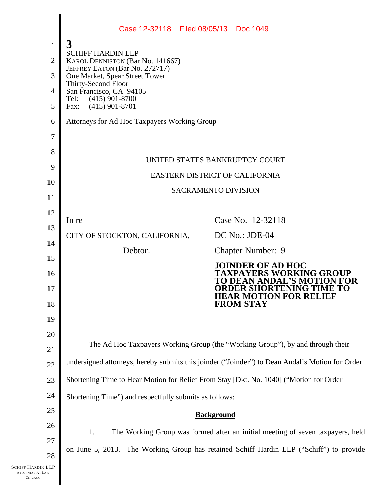|                                                       | Case 12-32118 Filed 08/05/13 Doc 1049                                                           |                                                                                         |
|-------------------------------------------------------|-------------------------------------------------------------------------------------------------|-----------------------------------------------------------------------------------------|
| $\mathbf{1}$                                          | 3                                                                                               |                                                                                         |
| $\overline{2}$                                        | <b>SCHIFF HARDIN LLP</b><br><b>KAROL DENNISTON (Bar No. 141667)</b>                             |                                                                                         |
| 3                                                     | JEFFREY EATON (Bar No. 272717)<br>One Market, Spear Street Tower                                |                                                                                         |
| 4                                                     | Thirty-Second Floor<br>San Francisco, CA 94105                                                  |                                                                                         |
| 5                                                     | $(415)$ 901-8700<br>Tel:<br>$(415)$ 901-8701<br>Fax:                                            |                                                                                         |
| 6                                                     | Attorneys for Ad Hoc Taxpayers Working Group                                                    |                                                                                         |
| 7                                                     |                                                                                                 |                                                                                         |
| 8                                                     |                                                                                                 |                                                                                         |
| 9                                                     | UNITED STATES BANKRUPTCY COURT<br>EASTERN DISTRICT OF CALIFORNIA                                |                                                                                         |
| 10                                                    |                                                                                                 |                                                                                         |
| 11                                                    |                                                                                                 | <b>SACRAMENTO DIVISION</b>                                                              |
| 12                                                    |                                                                                                 |                                                                                         |
| 13                                                    | In re                                                                                           | Case No. 12-32118                                                                       |
| 14                                                    | CITY OF STOCKTON, CALIFORNIA,                                                                   | DC No.: JDE-04                                                                          |
| 15                                                    | Debtor.                                                                                         | <b>Chapter Number: 9</b>                                                                |
| 16                                                    |                                                                                                 | <b>JOINDER OF AD HOC</b><br><b>TAXPAYERS WORKING GROUP</b>                              |
| 17                                                    |                                                                                                 | <b>DEAN ANDAL'S MOTION FOR</b><br><b>ORDER SHORTENING TIME TO</b>                       |
| 18                                                    |                                                                                                 | <b>HEAR MOTION FOR RELIEF</b><br><b>FROM STAY</b>                                       |
| 19                                                    |                                                                                                 |                                                                                         |
| 20                                                    |                                                                                                 |                                                                                         |
| 21                                                    | The Ad Hoc Taxpayers Working Group (the "Working Group"), by and through their                  |                                                                                         |
| 22                                                    | undersigned attorneys, hereby submits this joinder ("Joinder") to Dean Andal's Motion for Order |                                                                                         |
| 23                                                    | Shortening Time to Hear Motion for Relief From Stay [Dkt. No. 1040] ("Motion for Order          |                                                                                         |
| 24                                                    | Shortening Time") and respectfully submits as follows:                                          |                                                                                         |
| 25                                                    | <b>Background</b>                                                                               |                                                                                         |
| 26                                                    | The Working Group was formed after an initial meeting of seven taxpayers, held<br>1.            |                                                                                         |
| 27                                                    |                                                                                                 |                                                                                         |
| 28                                                    |                                                                                                 | on June 5, 2013. The Working Group has retained Schiff Hardin LLP ("Schiff") to provide |
| :hiff Hardin LLP<br><b>TTORNEYS AT LAW</b><br>CHICAGO |                                                                                                 |                                                                                         |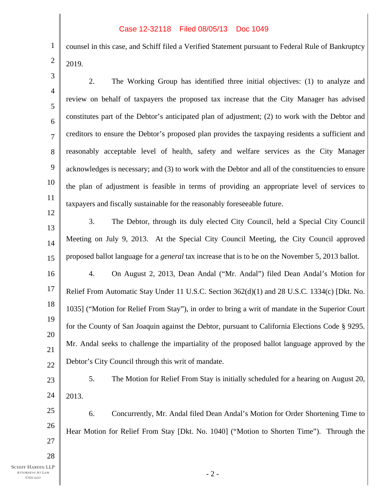## Case 12-32118 Filed 08/05/13 Doc 1049

counsel in this case, and Schiff filed a Verified Statement pursuant to Federal Rule of Bankruptcy 2019.

3 4 5 6 7 8 9 10 11 12 13 14 15 16 17 18 19 20 21 22 23 24 25 26 27 28  $-2-$ 2. The Working Group has identified three initial objectives: (1) to analyze and review on behalf of taxpayers the proposed tax increase that the City Manager has advised constitutes part of the Debtor's anticipated plan of adjustment; (2) to work with the Debtor and creditors to ensure the Debtor's proposed plan provides the taxpaying residents a sufficient and reasonably acceptable level of health, safety and welfare services as the City Manager acknowledges is necessary; and (3) to work with the Debtor and all of the constituencies to ensure the plan of adjustment is feasible in terms of providing an appropriate level of services to taxpayers and fiscally sustainable for the reasonably foreseeable future. 3. The Debtor, through its duly elected City Council, held a Special City Council Meeting on July 9, 2013. At the Special City Council Meeting, the City Council approved proposed ballot language for a *general* tax increase that is to be on the November 5, 2013 ballot. 4. On August 2, 2013, Dean Andal ("Mr. Andal") filed Dean Andal's Motion for Relief From Automatic Stay Under 11 U.S.C. Section 362(d)(1) and 28 U.S.C. 1334(c) [Dkt. No. 1035] ("Motion for Relief From Stay"), in order to bring a writ of mandate in the Superior Court for the County of San Joaquin against the Debtor, pursuant to California Elections Code § 9295. Mr. Andal seeks to challenge the impartiality of the proposed ballot language approved by the Debtor's City Council through this writ of mandate. 5. The Motion for Relief From Stay is initially scheduled for a hearing on August 20, 2013. 6. Concurrently, Mr. Andal filed Dean Andal's Motion for Order Shortening Time to Hear Motion for Relief From Stay [Dkt. No. 1040] ("Motion to Shorten Time"). Through the

1

2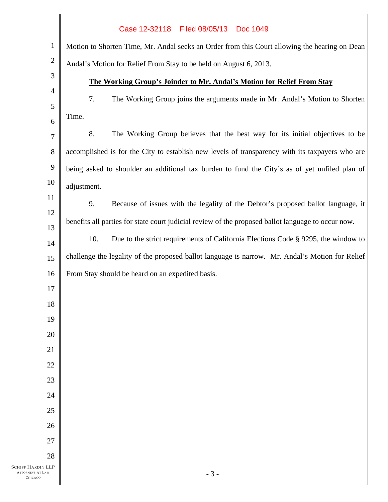|                                                                      | Case 12-32118<br>Filed 08/05/13<br>Doc 1049                                                        |  |
|----------------------------------------------------------------------|----------------------------------------------------------------------------------------------------|--|
| $\mathbf{1}$                                                         | Motion to Shorten Time, Mr. Andal seeks an Order from this Court allowing the hearing on Dean      |  |
| $\overline{2}$                                                       | Andal's Motion for Relief From Stay to be held on August 6, 2013.                                  |  |
| $\mathfrak{Z}$                                                       | The Working Group's Joinder to Mr. Andal's Motion for Relief From Stay                             |  |
| $\overline{4}$                                                       | 7.<br>The Working Group joins the arguments made in Mr. Andal's Motion to Shorten                  |  |
| 5                                                                    | Time.                                                                                              |  |
| 6                                                                    | 8.<br>The Working Group believes that the best way for its initial objectives to be                |  |
| 7                                                                    |                                                                                                    |  |
| 8                                                                    | accomplished is for the City to establish new levels of transparency with its taxpayers who are    |  |
| 9<br>10                                                              | being asked to shoulder an additional tax burden to fund the City's as of yet unfiled plan of      |  |
| 11                                                                   | adjustment.                                                                                        |  |
| 12                                                                   | 9.<br>Because of issues with the legality of the Debtor's proposed ballot language, it             |  |
| 13                                                                   | benefits all parties for state court judicial review of the proposed ballot language to occur now. |  |
| 14                                                                   | 10.<br>Due to the strict requirements of California Elections Code § 9295, the window to           |  |
| 15                                                                   | challenge the legality of the proposed ballot language is narrow. Mr. Andal's Motion for Relief    |  |
| 16                                                                   | From Stay should be heard on an expedited basis.                                                   |  |
| 17                                                                   |                                                                                                    |  |
| 18                                                                   |                                                                                                    |  |
| 19                                                                   |                                                                                                    |  |
| 20                                                                   |                                                                                                    |  |
| 21                                                                   |                                                                                                    |  |
| 22                                                                   |                                                                                                    |  |
| 23                                                                   |                                                                                                    |  |
| 24                                                                   |                                                                                                    |  |
| 25                                                                   |                                                                                                    |  |
| 26                                                                   |                                                                                                    |  |
| 27                                                                   |                                                                                                    |  |
| 28<br><b>SCHIFF HARDIN LLP</b><br><b>ATTORNEYS AT LAW</b><br>CHICAGO | $-3-$                                                                                              |  |